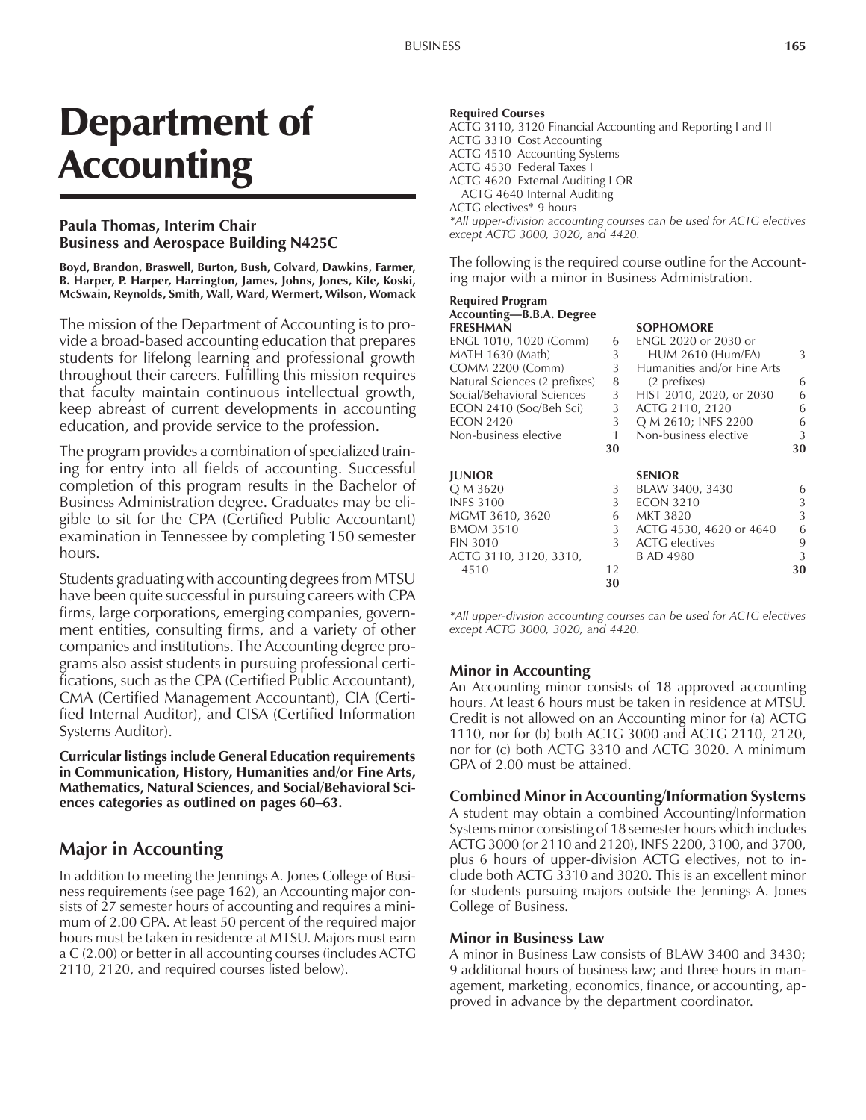# Department of **Accounting**

### **Paula Thomas, Interim Chair Business and Aerospace Building N425C**

**Boyd, Brandon, Braswell, Burton, Bush, Colvard, Dawkins, Farmer, B. Harper, P. Harper, Harrington, James, Johns, Jones, Kile, Koski, McSwain, Reynolds, Smith, Wall, Ward, Wermert, Wilson, Womack**

The mission of the Department of Accounting is to provide a broad-based accounting education that prepares students for lifelong learning and professional growth throughout their careers. Fulfilling this mission requires that faculty maintain continuous intellectual growth, keep abreast of current developments in accounting education, and provide service to the profession.

The program provides a combination of specialized training for entry into all fields of accounting. Successful completion of this program results in the Bachelor of Business Administration degree. Graduates may be eligible to sit for the CPA (Certified Public Accountant) examination in Tennessee by completing 150 semester hours.

Students graduating with accounting degrees from MTSU have been quite successful in pursuing careers with CPA firms, large corporations, emerging companies, government entities, consulting firms, and a variety of other companies and institutions. The Accounting degree programs also assist students in pursuing professional certifications, such as the CPA (Certified Public Accountant), CMA (Certified Management Accountant), CIA (Certified Internal Auditor), and CISA (Certified Information Systems Auditor).

**Curricular listings include General Education requirements in Communication, History, Humanities and/or Fine Arts, Mathematics, Natural Sciences, and Social/Behavioral Sci**ences categories as outlined on pages 60–63.

## **Major in Accounting**

In addition to meeting the Jennings A. Jones College of Business requirements (see page 162), an Accounting major consists of 27 semester hours of accounting and requires a minimum of 2.00 GPA. At least 50 percent of the required major hours must be taken in residence at MTSU. Majors must earn a C (2.00) or better in all accounting courses (includes ACTG 2110, 2120, and required courses listed below).

#### **Required Courses**

ACTG 3110, 3120 Financial Accounting and Reporting I and II ACTG 3310 Cost Accounting ACTG 4510 Accounting Systems ACTG 4530 Federal Taxes I ACTG 4620 External Auditing I OR ACTG 4640 Internal Auditing ACTG electives\* 9 hours

*\*All upper-division accounting courses can be used for ACTG electives except ACTG 3000, 3020, and 4420.*

The following is the required course outline for the Accounting major with a minor in Business Administration.

#### **Required Program** Accounting-B.B.A. Degree **FRESHMAN SOPHOMORE** ENGL 1010, 1020 (Comm) 6 ENGL 2020 or 2030 or<br>
MATH 1630 (Math) 3 HUM 2610 (Hum/FA 3 HUM 2610 (Hum/FA) 3 COMM 2200 (Comm) 3 Humanities and/or Fine Arts Natural Sciences (2 prefixes) 8 (2 prefixes) 6<br>Social/Behavioral Sciences 3 HIST 2010, 2020, or 2030 6 HIST 2010, 2020, or 2030 6 ECON 2410 (Soc/Beh Sci) 3 ACTG 2110, 2120 6 ECON 2420 3 Q M 2610; INFS 2200 6 Non-business elective 1 Non-business elective 3 **30 30 JUNIOR SENIOR** Q M 3620 3 BLAW 3400, 3430 6 INFS 3100 3 ECON 3210 3<br>MGMT 3610, 3620 6 MKT 3820 3 MGMT 3610, 3620 6 BMOM 3510 3 ACTG 4530, 4620 or 4640 6 FIN 3010 3 ACTG electives 9 ACTG 3110, 3120, 3310, B AD 4980 3 4510 12 **30 30**

*\*All upper-division accounting courses can be used for ACTG electives except ACTG 3000, 3020, and 4420.*

#### **Minor in Accounting**

An Accounting minor consists of 18 approved accounting hours. At least 6 hours must be taken in residence at MTSU. Credit is not allowed on an Accounting minor for (a) ACTG 1110, nor for (b) both ACTG 3000 and ACTG 2110, 2120, nor for (c) both ACTG 3310 and ACTG 3020. A minimum GPA of 2.00 must be attained.

#### **Combined Minor in Accounting/Information Systems**

A student may obtain a combined Accounting/Information Systems minor consisting of 18 semester hours which includes ACTG 3000 (or 2110 and 2120), INFS 2200, 3100, and 3700, plus 6 hours of upper-division ACTG electives, not to include both ACTG 3310 and 3020. This is an excellent minor for students pursuing majors outside the Jennings A. Jones College of Business.

#### **Minor in Business Law**

A minor in Business Law consists of BLAW 3400 and 3430; 9 additional hours of business law; and three hours in management, marketing, economics, finance, or accounting, approved in advance by the department coordinator.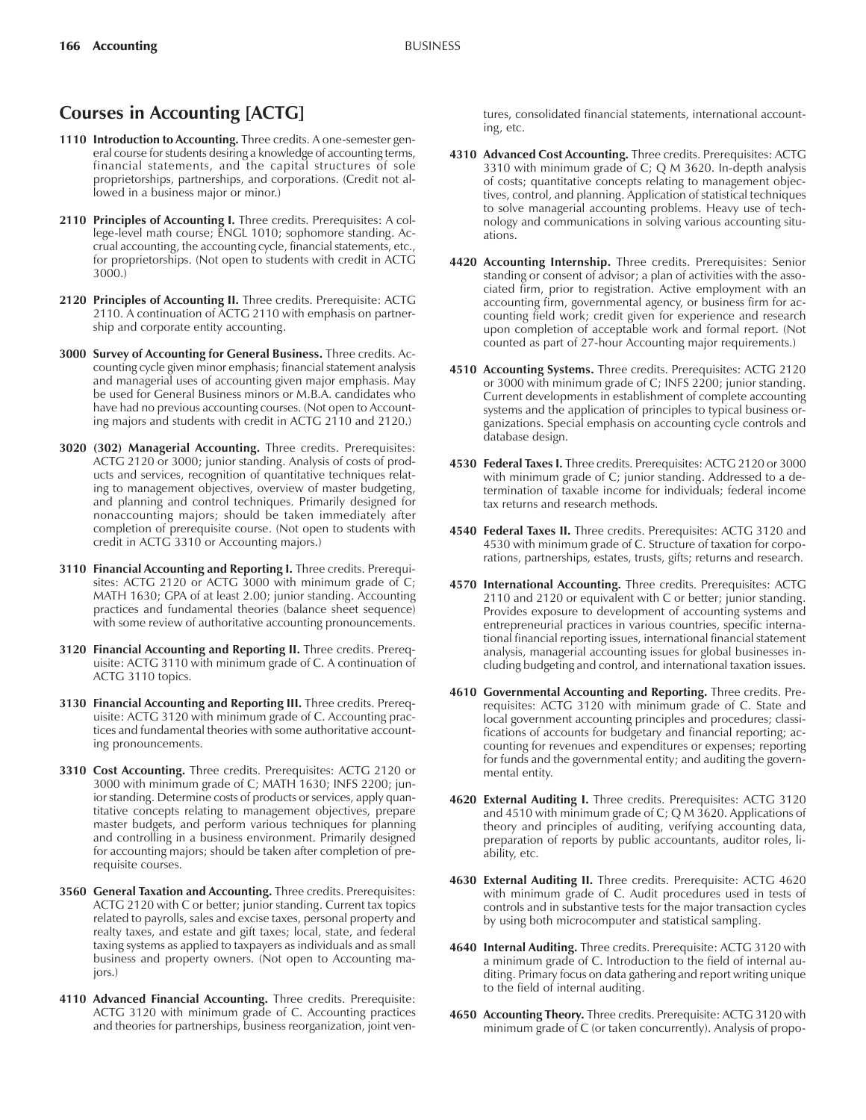## **Courses in Accounting [ACTG]**

- **1110 Introduction to Accounting.** Three credits. A one-semester general course for students desiring a knowledge of accounting terms, financial statements, and the capital structures of sole proprietorships, partnerships, and corporations. (Credit not allowed in a business major or minor.)
- 2110 Principles of Accounting I. Three credits. Prerequisites: A college-level math course; ENGL 1010; sophomore standing. Accrual accounting, the accounting cycle, financial statements, etc., for proprietorships. (Not open to students with credit in ACTG 3000.)
- **2120 Principles of Accounting II.** Three credits. Prerequisite: ACTG 2110. A continuation of ACTG 2110 with emphasis on partnership and corporate entity accounting.
- **3000 Survey of Accounting for General Business.** Three credits. Accounting cycle given minor emphasis; financial statement analysis and managerial uses of accounting given major emphasis. May be used for General Business minors or M.B.A. candidates who have had no previous accounting courses. (Not open to Accounting majors and students with credit in ACTG 2110 and 2120.)
- **3020 (302) Managerial Accounting.** Three credits. Prerequisites: ACTG 2120 or 3000; junior standing. Analysis of costs of products and services, recognition of quantitative techniques relating to management objectives, overview of master budgeting, and planning and control techniques. Primarily designed for nonaccounting majors; should be taken immediately after completion of prerequisite course. (Not open to students with credit in ACTG 3310 or Accounting majors.)
- **3110 Financial Accounting and Reporting I.** Three credits. Prerequisites: ACTG 2120 or ACTG 3000 with minimum grade of C; MATH 1630; GPA of at least 2.00; junior standing. Accounting practices and fundamental theories (balance sheet sequence) with some review of authoritative accounting pronouncements.
- **3120 Financial Accounting and Reporting II.** Three credits. Prerequisite: ACTG 3110 with minimum grade of C. A continuation of ACTG 3110 topics.
- **3130 Financial Accounting and Reporting III.** Three credits. Prerequisite: ACTG 3120 with minimum grade of C. Accounting practices and fundamental theories with some authoritative accounting pronouncements.
- **3310 Cost Accounting.** Three credits. Prerequisites: ACTG 2120 or 3000 with minimum grade of C; MATH 1630; INFS 2200; junior standing. Determine costs of products or services, apply quantitative concepts relating to management objectives, prepare master budgets, and perform various techniques for planning and controlling in a business environment. Primarily designed for accounting majors; should be taken after completion of prerequisite courses.
- **3560 General Taxation and Accounting.** Three credits. Prerequisites: ACTG 2120 with C or better; junior standing. Current tax topics related to payrolls, sales and excise taxes, personal property and realty taxes, and estate and gift taxes; local, state, and federal taxing systems as applied to taxpayers as individuals and as small business and property owners. (Not open to Accounting majors.)
- **4110 Advanced Financial Accounting.** Three credits. Prerequisite: ACTG 3120 with minimum grade of C. Accounting practices and theories for partnerships, business reorganization, joint ven-

tures, consolidated financial statements, international accounting, etc.

- **4310 Advanced Cost Accounting.** Three credits. Prerequisites: ACTG 3310 with minimum grade of C; Q M 3620. In-depth analysis of costs; quantitative concepts relating to management objectives, control, and planning. Application of statistical techniques to solve managerial accounting problems. Heavy use of technology and communications in solving various accounting situations.
- **4420 Accounting Internship.** Three credits. Prerequisites: Senior standing or consent of advisor; a plan of activities with the associated firm, prior to registration. Active employment with an accounting firm, governmental agency, or business firm for accounting field work; credit given for experience and research upon completion of acceptable work and formal report. (Not counted as part of 27-hour Accounting major requirements.)
- **4510 Accounting Systems.** Three credits. Prerequisites: ACTG 2120 or 3000 with minimum grade of C; INFS 2200; junior standing. Current developments in establishment of complete accounting systems and the application of principles to typical business organizations. Special emphasis on accounting cycle controls and database design.
- **4530 Federal Taxes I.** Three credits. Prerequisites: ACTG 2120 or 3000 with minimum grade of C; junior standing. Addressed to a determination of taxable income for individuals; federal income tax returns and research methods.
- **4540 Federal Taxes II.** Three credits. Prerequisites: ACTG 3120 and 4530 with minimum grade of C. Structure of taxation for corporations, partnerships, estates, trusts, gifts; returns and research.
- **4570 International Accounting.** Three credits. Prerequisites: ACTG 2110 and 2120 or equivalent with C or better; junior standing. Provides exposure to development of accounting systems and entrepreneurial practices in various countries, specific international financial reporting issues, international financial statement analysis, managerial accounting issues for global businesses including budgeting and control, and international taxation issues.
- **4610 Governmental Accounting and Reporting.** Three credits. Prerequisites: ACTG 3120 with minimum grade of C. State and local government accounting principles and procedures; classifications of accounts for budgetary and financial reporting; accounting for revenues and expenditures or expenses; reporting for funds and the governmental entity; and auditing the governmental entity.
- **4620 External Auditing I.** Three credits. Prerequisites: ACTG 3120 and 4510 with minimum grade of C; Q M 3620. Applications of theory and principles of auditing, verifying accounting data, preparation of reports by public accountants, auditor roles, liability, etc.
- **4630 External Auditing II.** Three credits. Prerequisite: ACTG 4620 with minimum grade of C. Audit procedures used in tests of controls and in substantive tests for the major transaction cycles by using both microcomputer and statistical sampling.
- **4640 Internal Auditing.** Three credits. Prerequisite: ACTG 3120 with a minimum grade of C. Introduction to the field of internal auditing. Primary focus on data gathering and report writing unique to the field of internal auditing.
- **4650 Accounting Theory.** Three credits. Prerequisite: ACTG 3120 with minimum grade of C (or taken concurrently). Analysis of propo-